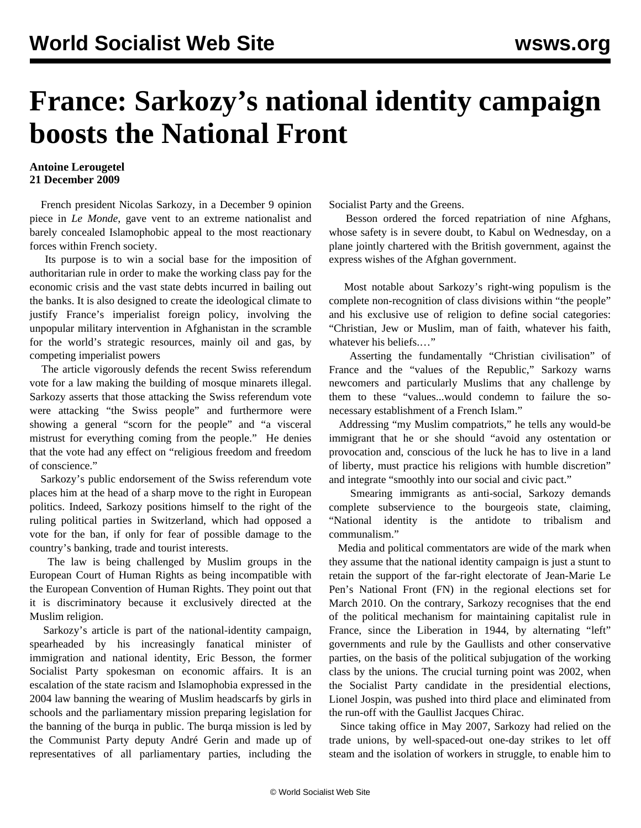## **France: Sarkozy's national identity campaign boosts the National Front**

## **Antoine Lerougetel 21 December 2009**

 French president Nicolas Sarkozy, in a December 9 opinion piece in *Le Monde*, gave vent to an extreme nationalist and barely concealed Islamophobic appeal to the most reactionary forces within French society.

 Its purpose is to win a social base for the imposition of authoritarian rule in order to make the working class pay for the economic crisis and the vast state debts incurred in bailing out the banks. It is also designed to create the ideological climate to justify France's imperialist foreign policy, involving the unpopular military intervention in Afghanistan in the scramble for the world's strategic resources, mainly oil and gas, by competing imperialist powers

 The article vigorously defends the recent Swiss referendum vote for a law making the building of mosque minarets illegal. Sarkozy asserts that those attacking the Swiss referendum vote were attacking "the Swiss people" and furthermore were showing a general "scorn for the people" and "a visceral mistrust for everything coming from the people." He denies that the vote had any effect on "religious freedom and freedom of conscience."

 Sarkozy's public endorsement of the Swiss referendum vote places him at the head of a sharp move to the right in European politics. Indeed, Sarkozy positions himself to the right of the ruling political parties in Switzerland, which had opposed a vote for the ban, if only for fear of possible damage to the country's banking, trade and tourist interests.

 The law is being challenged by Muslim groups in the European Court of Human Rights as being incompatible with the European Convention of Human Rights. They point out that it is discriminatory because it exclusively directed at the Muslim religion.

 Sarkozy's article is part of the national-identity campaign, spearheaded by his increasingly fanatical minister of immigration and national identity, Eric Besson, the former Socialist Party spokesman on economic affairs. It is an escalation of the state racism and Islamophobia expressed in the 2004 law banning the wearing of Muslim headscarfs by girls in schools and the parliamentary mission preparing legislation for the banning of the burqa in public. The burqa mission is led by the Communist Party deputy André Gerin and made up of representatives of all parliamentary parties, including the Socialist Party and the Greens.

 Besson ordered the forced repatriation of nine Afghans, whose safety is in severe doubt, to Kabul on Wednesday, on a plane jointly chartered with the British government, against the express wishes of the Afghan government.

 Most notable about Sarkozy's right-wing populism is the complete non-recognition of class divisions within "the people" and his exclusive use of religion to define social categories: "Christian, Jew or Muslim, man of faith, whatever his faith, whatever his beliefs.…"

 Asserting the fundamentally "Christian civilisation" of France and the "values of the Republic," Sarkozy warns newcomers and particularly Muslims that any challenge by them to these "values...would condemn to failure the sonecessary establishment of a French Islam."

 Addressing "my Muslim compatriots," he tells any would-be immigrant that he or she should "avoid any ostentation or provocation and, conscious of the luck he has to live in a land of liberty, must practice his religions with humble discretion" and integrate "smoothly into our social and civic pact."

 Smearing immigrants as anti-social, Sarkozy demands complete subservience to the bourgeois state, claiming, "National identity is the antidote to tribalism and communalism."

 Media and political commentators are wide of the mark when they assume that the national identity campaign is just a stunt to retain the support of the far-right electorate of Jean-Marie Le Pen's National Front (FN) in the regional elections set for March 2010. On the contrary, Sarkozy recognises that the end of the political mechanism for maintaining capitalist rule in France, since the Liberation in 1944, by alternating "left" governments and rule by the Gaullists and other conservative parties, on the basis of the political subjugation of the working class by the unions. The crucial turning point was 2002, when the Socialist Party candidate in the presidential elections, Lionel Jospin, was pushed into third place and eliminated from the run-off with the Gaullist Jacques Chirac.

 Since taking office in May 2007, Sarkozy had relied on the trade unions, by well-spaced-out one-day strikes to let off steam and the isolation of workers in struggle, to enable him to